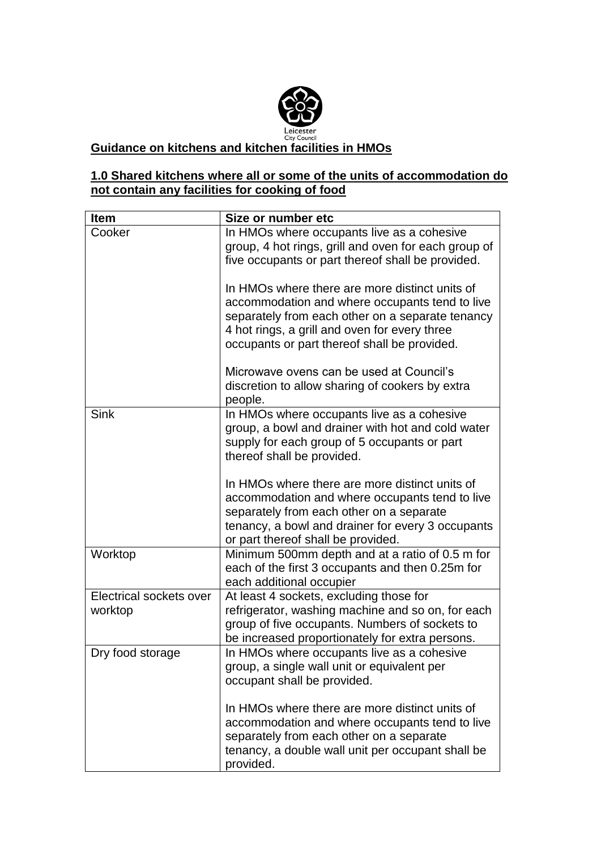

## **Guidance on kitchens and kitchen facilities in HMOs**

## **1.0 Shared kitchens where all or some of the units of accommodation do not contain any facilities for cooking of food**

| <b>Item</b>                        | Size or number etc                                                                                                                                                                                                                                    |
|------------------------------------|-------------------------------------------------------------------------------------------------------------------------------------------------------------------------------------------------------------------------------------------------------|
| Cooker                             | In HMOs where occupants live as a cohesive<br>group, 4 hot rings, grill and oven for each group of<br>five occupants or part thereof shall be provided.                                                                                               |
|                                    | In HMOs where there are more distinct units of<br>accommodation and where occupants tend to live<br>separately from each other on a separate tenancy<br>4 hot rings, a grill and oven for every three<br>occupants or part thereof shall be provided. |
|                                    | Microwave ovens can be used at Council's<br>discretion to allow sharing of cookers by extra<br>people.                                                                                                                                                |
| <b>Sink</b>                        | In HMOs where occupants live as a cohesive<br>group, a bowl and drainer with hot and cold water<br>supply for each group of 5 occupants or part<br>thereof shall be provided.                                                                         |
|                                    | In HMOs where there are more distinct units of<br>accommodation and where occupants tend to live<br>separately from each other on a separate<br>tenancy, a bowl and drainer for every 3 occupants<br>or part thereof shall be provided.               |
| Worktop                            | Minimum 500mm depth and at a ratio of 0.5 m for<br>each of the first 3 occupants and then 0.25m for<br>each additional occupier                                                                                                                       |
| Electrical sockets over<br>worktop | At least 4 sockets, excluding those for<br>refrigerator, washing machine and so on, for each<br>group of five occupants. Numbers of sockets to<br>be increased proportionately for extra persons.                                                     |
| Dry food storage                   | In HMOs where occupants live as a cohesive<br>group, a single wall unit or equivalent per<br>occupant shall be provided.                                                                                                                              |
|                                    | In HMOs where there are more distinct units of<br>accommodation and where occupants tend to live<br>separately from each other on a separate<br>tenancy, a double wall unit per occupant shall be<br>provided.                                        |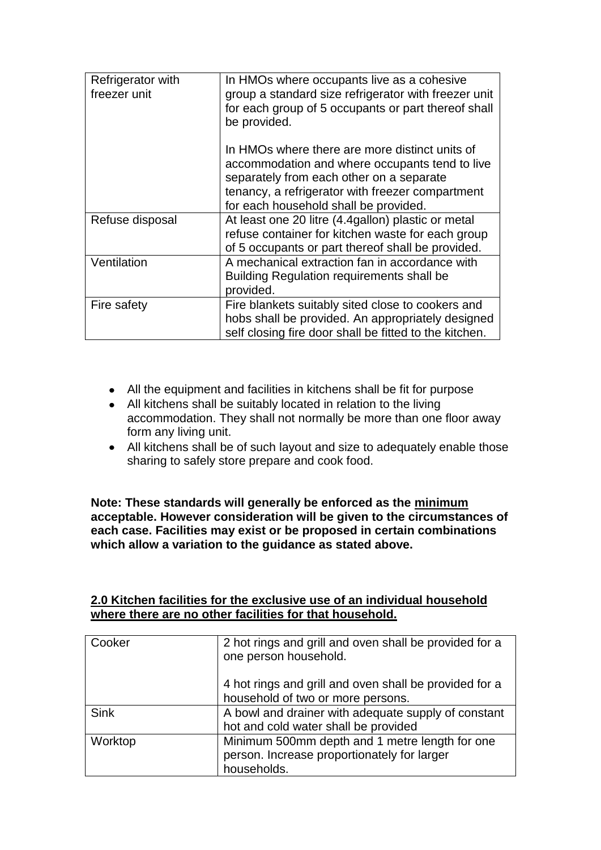| Refrigerator with<br>freezer unit | In HMOs where occupants live as a cohesive<br>group a standard size refrigerator with freezer unit<br>for each group of 5 occupants or part thereof shall<br>be provided.                                                                 |
|-----------------------------------|-------------------------------------------------------------------------------------------------------------------------------------------------------------------------------------------------------------------------------------------|
|                                   | In HMOs where there are more distinct units of<br>accommodation and where occupants tend to live<br>separately from each other on a separate<br>tenancy, a refrigerator with freezer compartment<br>for each household shall be provided. |
| Refuse disposal                   | At least one 20 litre (4.4gallon) plastic or metal<br>refuse container for kitchen waste for each group<br>of 5 occupants or part thereof shall be provided.                                                                              |
| Ventilation                       | A mechanical extraction fan in accordance with<br><b>Building Regulation requirements shall be</b><br>provided.                                                                                                                           |
| Fire safety                       | Fire blankets suitably sited close to cookers and<br>hobs shall be provided. An appropriately designed<br>self closing fire door shall be fitted to the kitchen.                                                                          |

- All the equipment and facilities in kitchens shall be fit for purpose
- All kitchens shall be suitably located in relation to the living accommodation. They shall not normally be more than one floor away form any living unit.
- All kitchens shall be of such layout and size to adequately enable those sharing to safely store prepare and cook food.

**Note: These standards will generally be enforced as the minimum acceptable. However consideration will be given to the circumstances of each case. Facilities may exist or be proposed in certain combinations which allow a variation to the guidance as stated above.**

| 2.0 Kitchen facilities for the exclusive use of an individual household |  |
|-------------------------------------------------------------------------|--|
| where there are no other facilities for that household.                 |  |

| Cooker      | 2 hot rings and grill and oven shall be provided for a<br>one person household.                              |
|-------------|--------------------------------------------------------------------------------------------------------------|
|             | 4 hot rings and grill and oven shall be provided for a<br>household of two or more persons.                  |
| <b>Sink</b> | A bowl and drainer with adequate supply of constant<br>hot and cold water shall be provided                  |
| Worktop     | Minimum 500mm depth and 1 metre length for one<br>person. Increase proportionately for larger<br>households. |